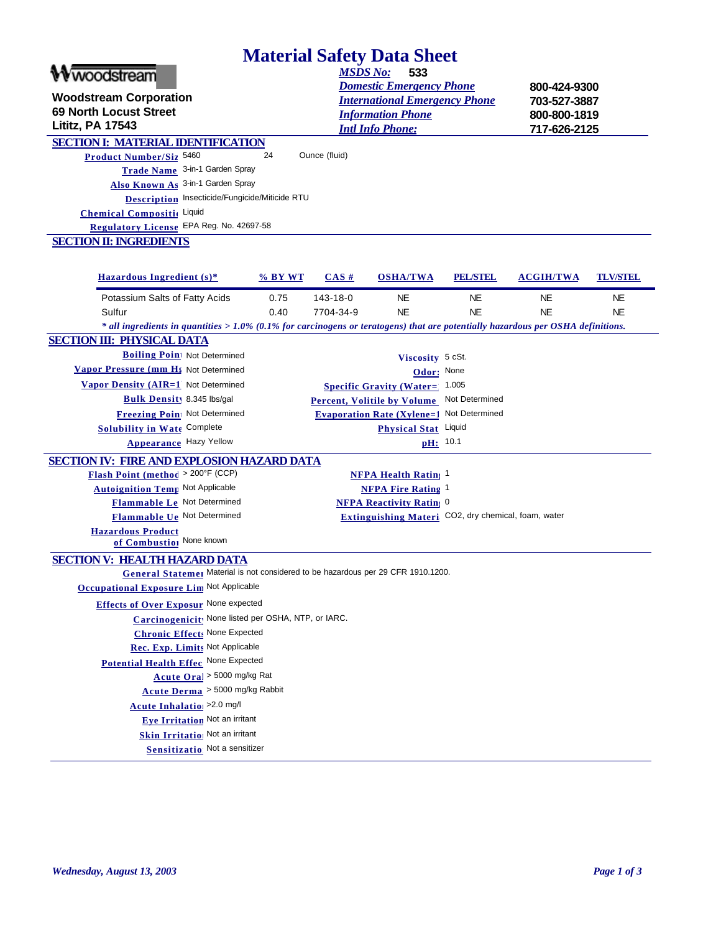| <b>Material Safety Data Sheet</b> |  |  |
|-----------------------------------|--|--|
|                                   |  |  |

| <b>Material Safety Data Sheet</b>                                                                                                  |           |                 |                                                     |                 |                  |                 |
|------------------------------------------------------------------------------------------------------------------------------------|-----------|-----------------|-----------------------------------------------------|-----------------|------------------|-----------------|
| woodstream                                                                                                                         |           | <b>MSDS No:</b> | 533                                                 |                 |                  |                 |
|                                                                                                                                    |           |                 | <b>Domestic Emergency Phone</b>                     |                 | 800-424-9300     |                 |
| <b>Woodstream Corporation</b>                                                                                                      |           |                 | <b>International Emergency Phone</b>                |                 | 703-527-3887     |                 |
| <b>69 North Locust Street</b>                                                                                                      |           |                 | <b>Information Phone</b>                            |                 | 800-800-1819     |                 |
| Lititz, PA 17543                                                                                                                   |           |                 | <b>Intl Info Phone:</b>                             |                 | 717-626-2125     |                 |
| <b>SECTION I: MATERIAL IDENTIFICATION</b>                                                                                          |           |                 |                                                     |                 |                  |                 |
| Product Number/Siz 5460                                                                                                            | 24        | Ounce (fluid)   |                                                     |                 |                  |                 |
| Trade Name 3-in-1 Garden Spray                                                                                                     |           |                 |                                                     |                 |                  |                 |
| Also Known As 3-in-1 Garden Spray<br><b>Description</b> Insecticide/Fungicide/Miticide RTU                                         |           |                 |                                                     |                 |                  |                 |
|                                                                                                                                    |           |                 |                                                     |                 |                  |                 |
| Chemical Compositic Liquid<br>Regulatory License EPA Reg. No. 42697-58                                                             |           |                 |                                                     |                 |                  |                 |
| <b>SECTION II: INGREDIENTS</b>                                                                                                     |           |                 |                                                     |                 |                  |                 |
|                                                                                                                                    |           |                 |                                                     |                 |                  |                 |
|                                                                                                                                    |           |                 |                                                     |                 | <b>ACGIH/TWA</b> |                 |
| Hazardous Ingredient $(s)$ *                                                                                                       | $%$ BY WT | CAS#            | <b>OSHA/TWA</b>                                     | <b>PEL/STEL</b> |                  | <b>TLV/STEL</b> |
| Potassium Salts of Fatty Acids                                                                                                     | 0.75      | 143-18-0        | <b>NE</b>                                           | <b>NE</b>       | NE.              | NE              |
| Sulfur                                                                                                                             | 0.40      | 7704-34-9       | <b>NE</b>                                           | <b>NE</b>       | <b>NE</b>        | NE.             |
| $*$ all ingredients in quantities > 1.0% (0.1% for carcinogens or teratogens) that are potentially hazardous per OSHA definitions. |           |                 |                                                     |                 |                  |                 |
| <b>SECTION III: PHYSICAL DATA</b>                                                                                                  |           |                 |                                                     |                 |                  |                 |
| <b>Boiling Poin</b> Not Determined                                                                                                 |           |                 | Viscosity 5 cSt.                                    |                 |                  |                 |
| Vapor Pressure (mm H <sub>\$</sub> Not Determined                                                                                  |           |                 | Odor: None                                          |                 |                  |                 |
| Vapor Density (AIR=1 Not Determined                                                                                                |           |                 | <b>Specific Gravity (Water= 1.005</b>               |                 |                  |                 |
| <b>Bulk Density 8.345 lbs/gal</b>                                                                                                  |           |                 | <b>Percent, Volitile by Volume</b>                  | Not Determined  |                  |                 |
| Freezing Poin Not Determined                                                                                                       |           |                 | <b>Evaporation Rate (Xylene=1)</b>                  | Not Determined  |                  |                 |
| Solubility in Wate Complete                                                                                                        |           |                 | Physical Stat Liquid                                |                 |                  |                 |
| <b>Appearance Hazy Yellow</b>                                                                                                      |           |                 | pH: 10.1                                            |                 |                  |                 |
| <b>SECTION IV: FIRE AND EXPLOSION HAZARD DATA</b>                                                                                  |           |                 |                                                     |                 |                  |                 |
| <b>Flash Point (method &gt; 200°F (CCP)</b>                                                                                        |           |                 | <b>NFPA Health Rating 1</b>                         |                 |                  |                 |
| <b>Autoignition Temp Not Applicable</b>                                                                                            |           |                 | NFPA Fire Rating 1                                  |                 |                  |                 |
| Flammable Le Not Determined                                                                                                        |           |                 | <b>NFPA Reactivity Rating 0</b>                     |                 |                  |                 |
| Flammable Ue Not Determined                                                                                                        |           |                 | Extinguishing Materi CO2, dry chemical, foam, water |                 |                  |                 |
| <b>Hazardous Product</b><br>of Combustion None known                                                                               |           |                 |                                                     |                 |                  |                 |
|                                                                                                                                    |           |                 |                                                     |                 |                  |                 |
| <b>SECTION V: HEALTH HAZARD DATA</b><br>General Statemer Material is not considered to be hazardous per 29 CFR 1910.1200.          |           |                 |                                                     |                 |                  |                 |
| <b>Occupational Exposure Lim Not Applicable</b>                                                                                    |           |                 |                                                     |                 |                  |                 |
| <b>Effects of Over Exposur None expected</b>                                                                                       |           |                 |                                                     |                 |                  |                 |
| Carcinogenicit! None listed per OSHA, NTP, or IARC.                                                                                |           |                 |                                                     |                 |                  |                 |
| <b>Chronic Effects None Expected</b>                                                                                               |           |                 |                                                     |                 |                  |                 |
| Rec. Exp. Limits Not Applicable                                                                                                    |           |                 |                                                     |                 |                  |                 |
| Potential Health Effec None Expected                                                                                               |           |                 |                                                     |                 |                  |                 |
|                                                                                                                                    |           |                 |                                                     |                 |                  |                 |
|                                                                                                                                    |           |                 |                                                     |                 |                  |                 |
| Acute Oral > 5000 mg/kg Rat                                                                                                        |           |                 |                                                     |                 |                  |                 |
| Acute Derma > 5000 mg/kg Rabbit                                                                                                    |           |                 |                                                     |                 |                  |                 |
| Acute Inhalatio <sub>1</sub> >2.0 mg/l                                                                                             |           |                 |                                                     |                 |                  |                 |
| Eye Irritation Not an irritant                                                                                                     |           |                 |                                                     |                 |                  |                 |
| Skin Irritatio: Not an irritant<br>Sensitizatio: Not a sensitizer                                                                  |           |                 |                                                     |                 |                  |                 |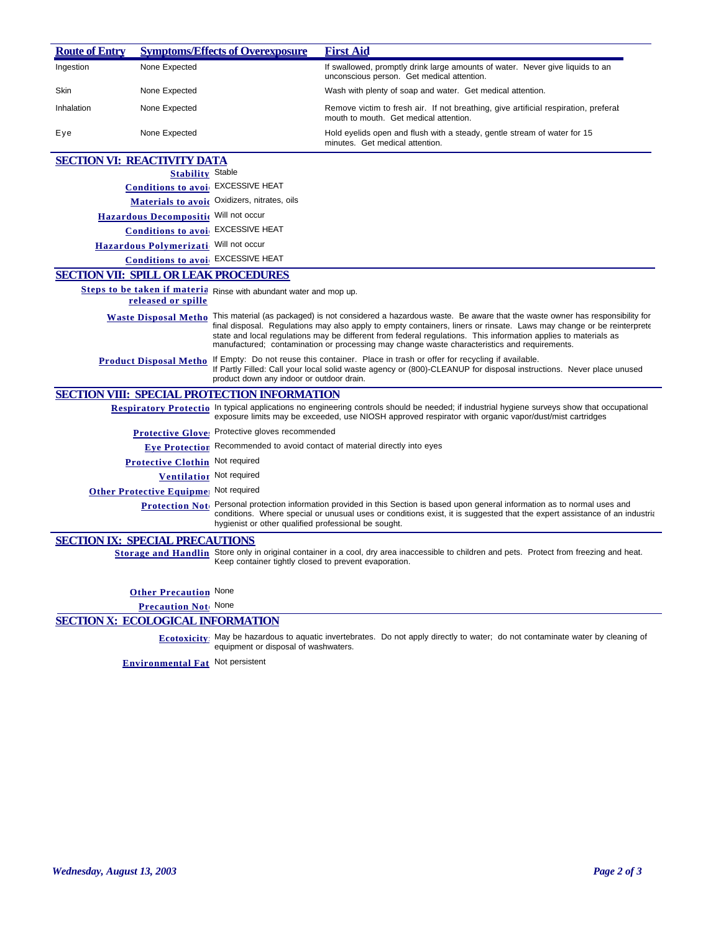| <b>Route of Entry</b> |                                          | <b>Symptoms/Effects of Overexposure</b>                            | <b>First Aid</b>                                                                                                                                                                                                                                                                                                                                                                                                                                                                       |
|-----------------------|------------------------------------------|--------------------------------------------------------------------|----------------------------------------------------------------------------------------------------------------------------------------------------------------------------------------------------------------------------------------------------------------------------------------------------------------------------------------------------------------------------------------------------------------------------------------------------------------------------------------|
| Ingestion             | None Expected                            |                                                                    | If swallowed, promptly drink large amounts of water. Never give liquids to an<br>unconscious person. Get medical attention.                                                                                                                                                                                                                                                                                                                                                            |
| Skin                  | None Expected                            |                                                                    | Wash with plenty of soap and water. Get medical attention.                                                                                                                                                                                                                                                                                                                                                                                                                             |
| Inhalation            | None Expected                            |                                                                    | Remove victim to fresh air. If not breathing, give artificial respiration, preferal<br>mouth to mouth. Get medical attention.                                                                                                                                                                                                                                                                                                                                                          |
| Eye                   | None Expected                            |                                                                    | Hold eyelids open and flush with a steady, gentle stream of water for 15<br>minutes. Get medical attention.                                                                                                                                                                                                                                                                                                                                                                            |
|                       | <b>SECTION VI: REACTIVITY DATA</b>       |                                                                    |                                                                                                                                                                                                                                                                                                                                                                                                                                                                                        |
|                       | <b>Stability Stable</b>                  |                                                                    |                                                                                                                                                                                                                                                                                                                                                                                                                                                                                        |
|                       | Conditions to avoi EXCESSIVE HEAT        |                                                                    |                                                                                                                                                                                                                                                                                                                                                                                                                                                                                        |
|                       |                                          | Materials to avoir Oxidizers, nitrates, oils                       |                                                                                                                                                                                                                                                                                                                                                                                                                                                                                        |
|                       | Hazardous Decompositic Will not occur    |                                                                    |                                                                                                                                                                                                                                                                                                                                                                                                                                                                                        |
|                       | Conditions to avoi EXCESSIVE HEAT        |                                                                    |                                                                                                                                                                                                                                                                                                                                                                                                                                                                                        |
|                       | Hazardous Polymerizati Will not occur    |                                                                    |                                                                                                                                                                                                                                                                                                                                                                                                                                                                                        |
|                       | <b>Conditions to avoi</b> EXCESSIVE HEAT |                                                                    |                                                                                                                                                                                                                                                                                                                                                                                                                                                                                        |
|                       |                                          | <b>SECTION VII: SPILL OR LEAK PROCEDURES</b>                       |                                                                                                                                                                                                                                                                                                                                                                                                                                                                                        |
|                       |                                          | Steps to be taken if materia Rinse with abundant water and mop up. |                                                                                                                                                                                                                                                                                                                                                                                                                                                                                        |
|                       | released or spille                       |                                                                    |                                                                                                                                                                                                                                                                                                                                                                                                                                                                                        |
|                       |                                          |                                                                    | Waste Disposal Metho This material (as packaged) is not considered a hazardous waste. Be aware that the waste owner has responsibility for<br>final disposal. Regulations may also apply to empty containers, liners or rinsate. Laws may change or be reinterprete<br>state and local regulations may be different from federal regulations. This information applies to materials as<br>manufactured; contamination or processing may change waste characteristics and requirements. |
|                       |                                          | product down any indoor or outdoor drain.                          | Product Disposal Metho If Empty: Do not reuse this container. Place in trash or offer for recycling if available.<br>If Partly Filled: Call your local solid waste agency or (800)-CLEANUP for disposal instructions. Never place unused                                                                                                                                                                                                                                               |
|                       |                                          | <b>SECTION VIII: SPECIAL PROTECTION INFORMATION</b>                |                                                                                                                                                                                                                                                                                                                                                                                                                                                                                        |
|                       |                                          |                                                                    | Respiratory Protectio In typical applications no engineering controls should be needed; if industrial hygiene surveys show that occupational<br>exposure limits may be exceeded, use NIOSH approved respirator with organic vapor/dust/mist cartridges                                                                                                                                                                                                                                 |
|                       |                                          | Protective Glove: Protective gloves recommended                    |                                                                                                                                                                                                                                                                                                                                                                                                                                                                                        |
|                       |                                          |                                                                    | Eye Protection Recommended to avoid contact of material directly into eyes                                                                                                                                                                                                                                                                                                                                                                                                             |
|                       | Protective Clothin Not required          |                                                                    |                                                                                                                                                                                                                                                                                                                                                                                                                                                                                        |
|                       | Ventilation Not required                 |                                                                    |                                                                                                                                                                                                                                                                                                                                                                                                                                                                                        |
|                       | Other Protective Equipme Not required    |                                                                    |                                                                                                                                                                                                                                                                                                                                                                                                                                                                                        |
|                       |                                          | hygienist or other qualified professional be sought.               | Protection Not. Personal protection information provided in this Section is based upon general information as to normal uses and<br>conditions. Where special or unusual uses or conditions exist, it is suggested that the expert assistance of an industria                                                                                                                                                                                                                          |
|                       | <b>SECTION IX: SPECIAL PRECAUTIONS</b>   |                                                                    |                                                                                                                                                                                                                                                                                                                                                                                                                                                                                        |
|                       |                                          | Keep container tightly closed to prevent evaporation.              | Storage and Handlin Store only in original container in a cool, dry area inaccessible to children and pets. Protect from freezing and heat.                                                                                                                                                                                                                                                                                                                                            |
|                       |                                          |                                                                    |                                                                                                                                                                                                                                                                                                                                                                                                                                                                                        |
|                       | <b>Other Precaution</b> None             |                                                                    |                                                                                                                                                                                                                                                                                                                                                                                                                                                                                        |
|                       | Precaution Not None                      |                                                                    |                                                                                                                                                                                                                                                                                                                                                                                                                                                                                        |
|                       | <b>SECTION X: ECOLOGICAL INFORMATION</b> |                                                                    |                                                                                                                                                                                                                                                                                                                                                                                                                                                                                        |

**Ecotoxicity:** May be hazardous to aquatic invertebrates. Do not apply directly to water; do not contaminate water by cleaning of equipment or disposal of washwaters.

**Environmental Fat** Not persistent